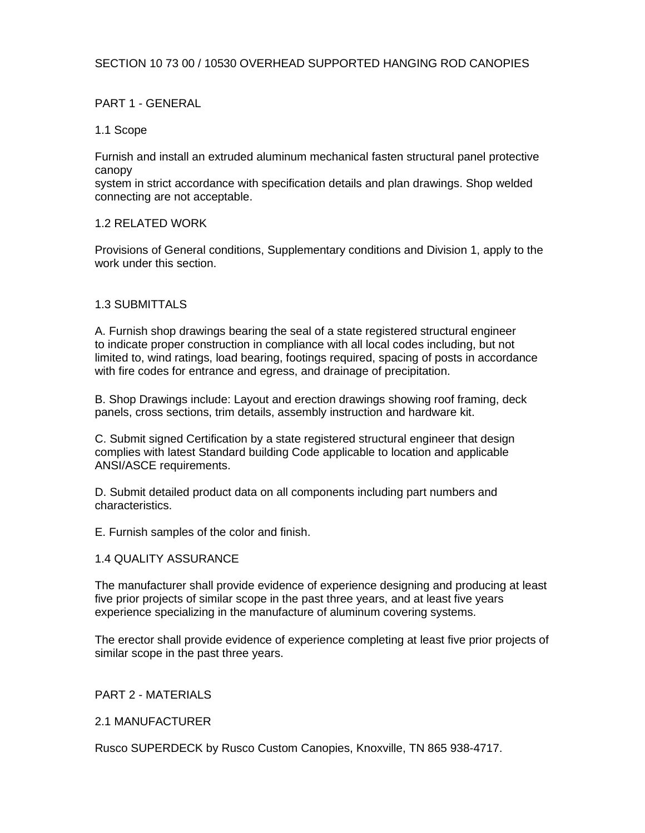# SECTION 10 73 00 / 10530 OVERHEAD SUPPORTED HANGING ROD CANOPIES

## PART 1 - GENERAL

### 1.1 Scope

Furnish and install an extruded aluminum mechanical fasten structural panel protective canopy

system in strict accordance with specification details and plan drawings. Shop welded connecting are not acceptable.

### 1.2 RELATED WORK

Provisions of General conditions, Supplementary conditions and Division 1, apply to the work under this section.

### 1.3 SUBMITTALS

A. Furnish shop drawings bearing the seal of a state registered structural engineer to indicate proper construction in compliance with all local codes including, but not limited to, wind ratings, load bearing, footings required, spacing of posts in accordance with fire codes for entrance and egress, and drainage of precipitation.

B. Shop Drawings include: Layout and erection drawings showing roof framing, deck panels, cross sections, trim details, assembly instruction and hardware kit.

C. Submit signed Certification by a state registered structural engineer that design complies with latest Standard building Code applicable to location and applicable ANSI/ASCE requirements.

D. Submit detailed product data on all components including part numbers and characteristics.

E. Furnish samples of the color and finish.

### 1.4 QUALITY ASSURANCE

The manufacturer shall provide evidence of experience designing and producing at least five prior projects of similar scope in the past three years, and at least five years experience specializing in the manufacture of aluminum covering systems.

The erector shall provide evidence of experience completing at least five prior projects of similar scope in the past three years.

### PART 2 - MATERIALS

2.1 MANUFACTURER

Rusco SUPERDECK by Rusco Custom Canopies, Knoxville, TN 865 938-4717.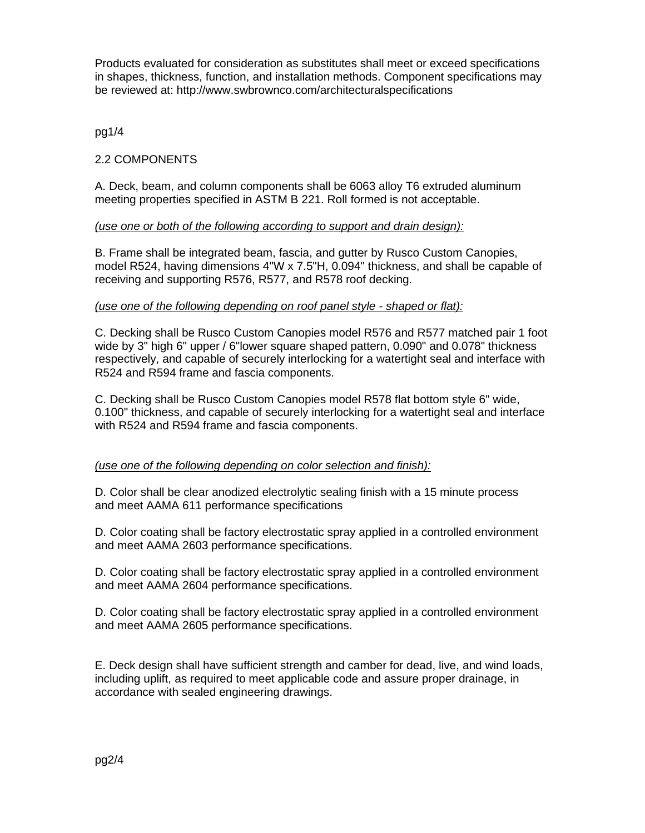Products evaluated for consideration as substitutes shall meet or exceed specifications in shapes, thickness, function, and installation methods. Component specifications may be reviewed at: http://www.swbrownco.com/architecturalspecifications

pg1/4

# 2.2 COMPONENTS

A. Deck, beam, and column components shall be 6063 alloy T6 extruded aluminum meeting properties specified in ASTM B 221. Roll formed is not acceptable.

### *(use one or both of the following according to support and drain design):*

B. Frame shall be integrated beam, fascia, and gutter by Rusco Custom Canopies, model R524, having dimensions 4"W x 7.5"H, 0.094" thickness, and shall be capable of receiving and supporting R576, R577, and R578 roof decking.

#### *(use one of the following depending on roof panel style - shaped or flat):*

C. Decking shall be Rusco Custom Canopies model R576 and R577 matched pair 1 foot wide by 3" high 6" upper / 6"lower square shaped pattern, 0.090" and 0.078" thickness respectively, and capable of securely interlocking for a watertight seal and interface with R524 and R594 frame and fascia components.

C. Decking shall be Rusco Custom Canopies model R578 flat bottom style 6" wide, 0.100" thickness, and capable of securely interlocking for a watertight seal and interface with R524 and R594 frame and fascia components.

### *(use one of the following depending on color selection and finish):*

D. Color shall be clear anodized electrolytic sealing finish with a 15 minute process and meet AAMA 611 performance specifications

D. Color coating shall be factory electrostatic spray applied in a controlled environment and meet AAMA 2603 performance specifications.

D. Color coating shall be factory electrostatic spray applied in a controlled environment and meet AAMA 2604 performance specifications.

D. Color coating shall be factory electrostatic spray applied in a controlled environment and meet AAMA 2605 performance specifications.

E. Deck design shall have sufficient strength and camber for dead, live, and wind loads, including uplift, as required to meet applicable code and assure proper drainage, in accordance with sealed engineering drawings.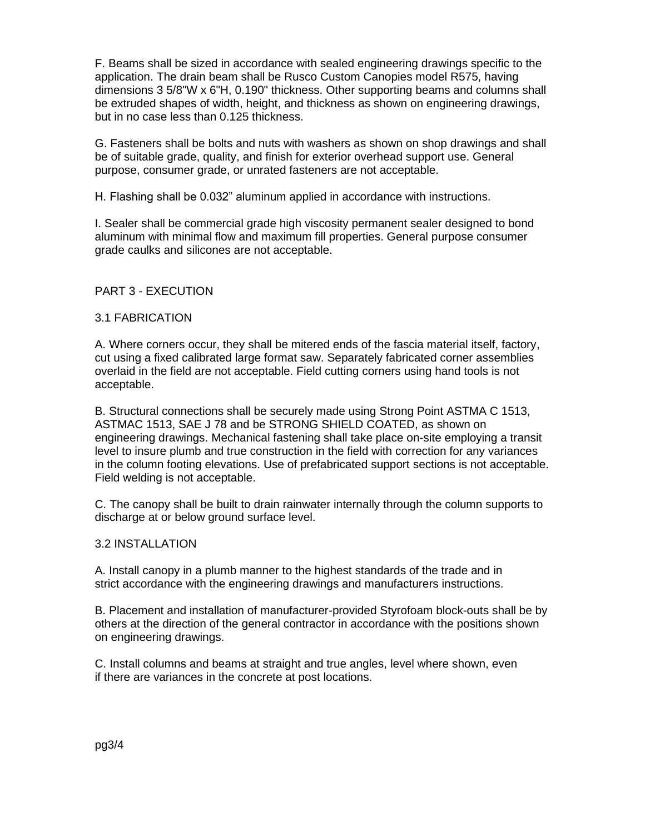F. Beams shall be sized in accordance with sealed engineering drawings specific to the application. The drain beam shall be Rusco Custom Canopies model R575, having dimensions 3 5/8"W x 6"H, 0.190" thickness. Other supporting beams and columns shall be extruded shapes of width, height, and thickness as shown on engineering drawings, but in no case less than 0.125 thickness.

G. Fasteners shall be bolts and nuts with washers as shown on shop drawings and shall be of suitable grade, quality, and finish for exterior overhead support use. General purpose, consumer grade, or unrated fasteners are not acceptable.

H. Flashing shall be 0.032" aluminum applied in accordance with instructions.

I. Sealer shall be commercial grade high viscosity permanent sealer designed to bond aluminum with minimal flow and maximum fill properties. General purpose consumer grade caulks and silicones are not acceptable.

# PART 3 - EXECUTION

### 3.1 FABRICATION

A. Where corners occur, they shall be mitered ends of the fascia material itself, factory, cut using a fixed calibrated large format saw. Separately fabricated corner assemblies overlaid in the field are not acceptable. Field cutting corners using hand tools is not acceptable.

B. Structural connections shall be securely made using Strong Point ASTMA C 1513, ASTMAC 1513, SAE J 78 and be STRONG SHIELD COATED, as shown on engineering drawings. Mechanical fastening shall take place on-site employing a transit level to insure plumb and true construction in the field with correction for any variances in the column footing elevations. Use of prefabricated support sections is not acceptable. Field welding is not acceptable.

C. The canopy shall be built to drain rainwater internally through the column supports to discharge at or below ground surface level.

### 3.2 INSTALLATION

A. Install canopy in a plumb manner to the highest standards of the trade and in strict accordance with the engineering drawings and manufacturers instructions.

B. Placement and installation of manufacturer-provided Styrofoam block-outs shall be by others at the direction of the general contractor in accordance with the positions shown on engineering drawings.

C. Install columns and beams at straight and true angles, level where shown, even if there are variances in the concrete at post locations.